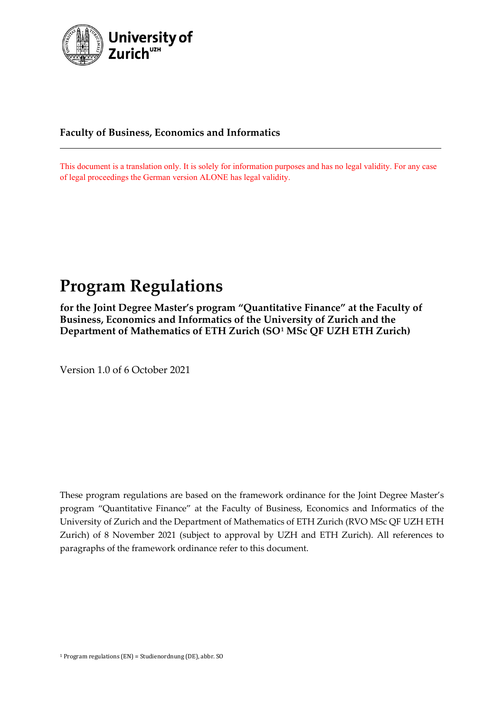

# **Faculty of Business, Economics and Informatics**

This document is a translation only. It is solely for information purposes and has no legal validity. For any case of legal proceedings the German version ALONE has legal validity.

# **Program Regulations**

**for the Joint Degree Master's program "Quantitative Finance" at the Faculty of Business, Economics and Informatics of the University of Zurich and the Department of Mathematics of ETH Zurich (SO[1](#page-0-0) MSc QF UZH ETH Zurich)**

Version 1.0 of 6 October 2021

These program regulations are based on the framework ordinance for the Joint Degree Master's program "Quantitative Finance" at the Faculty of Business, Economics and Informatics of the University of Zurich and the Department of Mathematics of ETH Zurich (RVO MSc QF UZH ETH Zurich) of 8 November 2021 (subject to approval by UZH and ETH Zurich). All references to paragraphs of the framework ordinance refer to this document.

<span id="page-0-0"></span><sup>1</sup> Program regulations (EN) = Studienordnung (DE), abbr. SO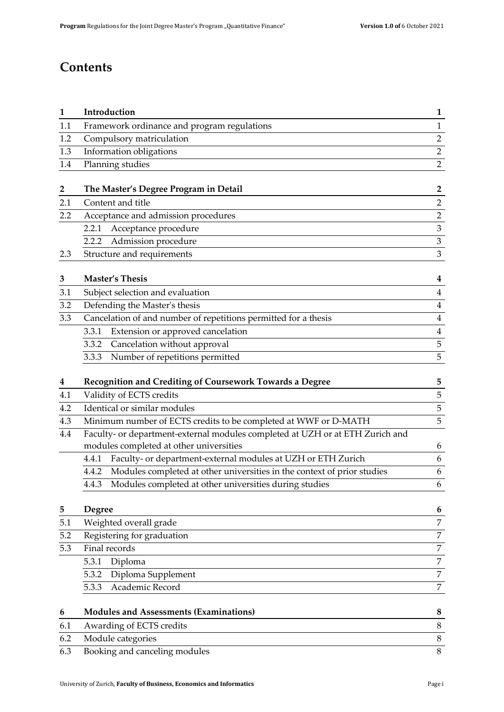# **Contents**

| $\mathbf{1}$            | Introduction                                                                     | 1                   |  |
|-------------------------|----------------------------------------------------------------------------------|---------------------|--|
| 1.1                     | Framework ordinance and program regulations                                      | $\mathbf{1}$        |  |
| 1.2                     | Compulsory matriculation                                                         | $\overline{2}$      |  |
| 1.3                     | Information obligations                                                          |                     |  |
| 1.4                     | Planning studies                                                                 |                     |  |
|                         |                                                                                  |                     |  |
| $\overline{\mathbf{2}}$ | The Master's Degree Program in Detail                                            | $\overline{2}$      |  |
| 2.1                     | Content and title                                                                | $\overline{2}$      |  |
| 2.2                     | Acceptance and admission procedures                                              | $\frac{2}{3}$       |  |
|                         | 2.2.1 Acceptance procedure                                                       |                     |  |
|                         | 2.2.2 Admission procedure                                                        | $\overline{3}$      |  |
| 2.3                     | Structure and requirements                                                       | 3                   |  |
| 3                       | <b>Master's Thesis</b>                                                           | 4                   |  |
| 3.1                     | Subject selection and evaluation                                                 | $\overline{4}$      |  |
| 3.2                     | Defending the Master's thesis                                                    |                     |  |
| 3.3                     | Cancelation of and number of repetitions permitted for a thesis                  | $\overline{4}$      |  |
|                         | Extension or approved cancelation<br>3.3.1                                       | $\overline{4}$      |  |
|                         | Cancelation without approval<br>3.3.2                                            | 5                   |  |
|                         | Number of repetitions permitted<br>3.3.3                                         | 5                   |  |
|                         |                                                                                  |                     |  |
| 4                       | Recognition and Crediting of Coursework Towards a Degree                         | 5                   |  |
| 4.1                     | Validity of ECTS credits                                                         | 5                   |  |
| 4.2                     | Identical or similar modules                                                     | 5<br>5              |  |
| 4.3                     | Minimum number of ECTS credits to be completed at WWF or D-MATH                  |                     |  |
| 4.4                     | Faculty- or department-external modules completed at UZH or at ETH Zurich and    |                     |  |
|                         | modules completed at other universities                                          | 6                   |  |
|                         | Faculty- or department-external modules at UZH or ETH Zurich<br>4.4.1            | 6                   |  |
|                         | Modules completed at other universities in the context of prior studies<br>4.4.2 | 6                   |  |
|                         | Modules completed at other universities during studies<br>4.4.3                  | 6                   |  |
| 5                       | <b>Degree</b>                                                                    | 6                   |  |
| 5.1                     | Weighted overall grade                                                           | $\overline{7}$      |  |
| 5.2                     | Registering for graduation                                                       |                     |  |
| 5.3                     | Final records                                                                    | $\overline{7}$<br>7 |  |
|                         | 5.3.1<br>Diploma                                                                 | $\overline{7}$      |  |
|                         | Diploma Supplement<br>5.3.2                                                      | 7                   |  |
|                         | Academic Record<br>5.3.3                                                         | 7                   |  |
| 6                       | <b>Modules and Assessments (Examinations)</b>                                    | 8                   |  |
| 6.1                     | Awarding of ECTS credits                                                         | $8\,$               |  |
| 6.2                     | Module categories                                                                | $8\,$               |  |
| 6.3                     | Booking and canceling modules                                                    |                     |  |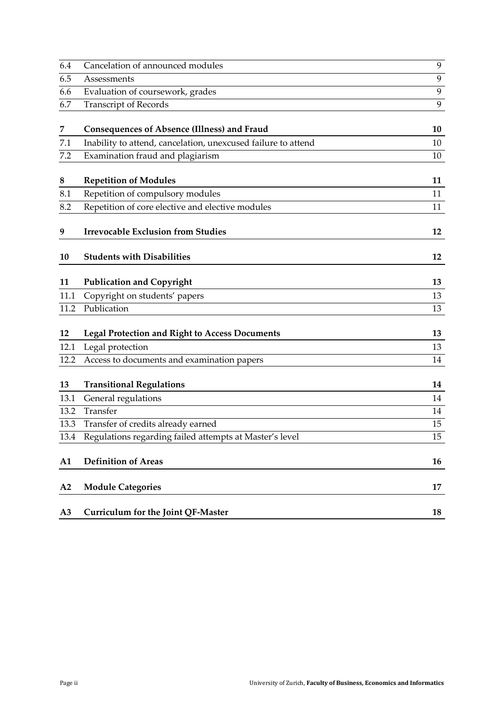| 6.4  | Cancelation of announced modules                              | 9  |
|------|---------------------------------------------------------------|----|
| 6.5  | Assessments                                                   | 9  |
| 6.6  | Evaluation of coursework, grades                              | 9  |
| 6.7  | <b>Transcript of Records</b>                                  | 9  |
| 7    | Consequences of Absence (Illness) and Fraud                   | 10 |
| 7.1  | Inability to attend, cancelation, unexcused failure to attend | 10 |
| 7.2  | Examination fraud and plagiarism                              | 10 |
| 8    | <b>Repetition of Modules</b>                                  | 11 |
| 8.1  | Repetition of compulsory modules                              | 11 |
| 8.2  | Repetition of core elective and elective modules              | 11 |
| 9    | <b>Irrevocable Exclusion from Studies</b>                     | 12 |
| 10   | <b>Students with Disabilities</b>                             | 12 |
| 11   | <b>Publication and Copyright</b>                              | 13 |
| 11.1 | Copyright on students' papers                                 | 13 |
| 11.2 | Publication                                                   | 13 |
| 12   | <b>Legal Protection and Right to Access Documents</b>         | 13 |
| 12.1 | Legal protection                                              | 13 |
| 12.2 | Access to documents and examination papers                    | 14 |
| 13   | <b>Transitional Regulations</b>                               | 14 |
| 13.1 | General regulations                                           | 14 |
| 13.2 | Transfer                                                      | 14 |
| 13.3 | Transfer of credits already earned                            | 15 |
| 13.4 | Regulations regarding failed attempts at Master's level       | 15 |
| A1   | <b>Definition of Areas</b>                                    | 16 |
| A2   | <b>Module Categories</b>                                      | 17 |
| A3   | Curriculum for the Joint QF-Master                            | 18 |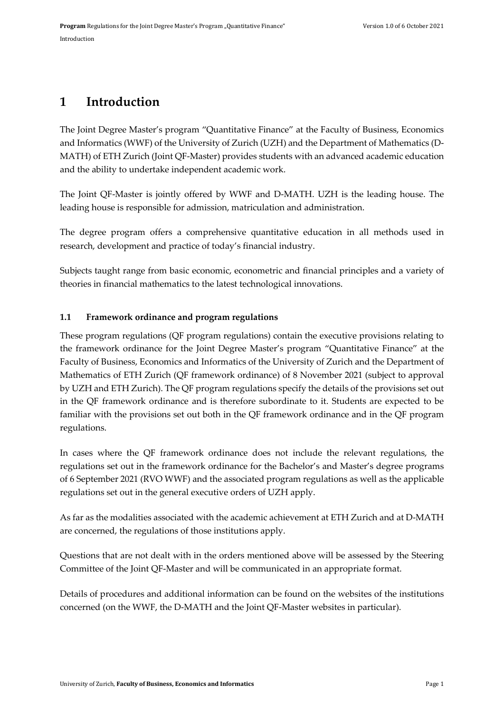# <span id="page-4-0"></span>**1 Introduction**

The Joint Degree Master's program "Quantitative Finance" at the Faculty of Business, Economics and Informatics (WWF) of the University of Zurich (UZH) and the Department of Mathematics (D-MATH) of ETH Zurich (Joint QF-Master) provides students with an advanced academic education and the ability to undertake independent academic work.

The Joint QF-Master is jointly offered by WWF and D-MATH. UZH is the leading house. The leading house is responsible for admission, matriculation and administration.

The degree program offers a comprehensive quantitative education in all methods used in research, development and practice of today's financial industry.

Subjects taught range from basic economic, econometric and financial principles and a variety of theories in financial mathematics to the latest technological innovations.

# <span id="page-4-1"></span>**1.1 Framework ordinance and program regulations**

These program regulations (QF program regulations) contain the executive provisions relating to the framework ordinance for the Joint Degree Master's program "Quantitative Finance" at the Faculty of Business, Economics and Informatics of the University of Zurich and the Department of Mathematics of ETH Zurich (QF framework ordinance) of 8 November 2021 (subject to approval by UZH and ETH Zurich). The QF program regulations specify the details of the provisions set out in the QF framework ordinance and is therefore subordinate to it. Students are expected to be familiar with the provisions set out both in the QF framework ordinance and in the QF program regulations.

In cases where the QF framework ordinance does not include the relevant regulations, the regulations set out in the framework ordinance for the Bachelor's and Master's degree programs of 6 September 2021 (RVO WWF) and the associated program regulations as well as the applicable regulations set out in the general executive orders of UZH apply.

As far as the modalities associated with the academic achievement at ETH Zurich and at D-MATH are concerned, the regulations of those institutions apply.

Questions that are not dealt with in the orders mentioned above will be assessed by the Steering Committee of the Joint QF-Master and will be communicated in an appropriate format.

Details of procedures and additional information can be found on the websites of the institutions concerned (on the WWF, the D-MATH and the Joint QF-Master websites in particular).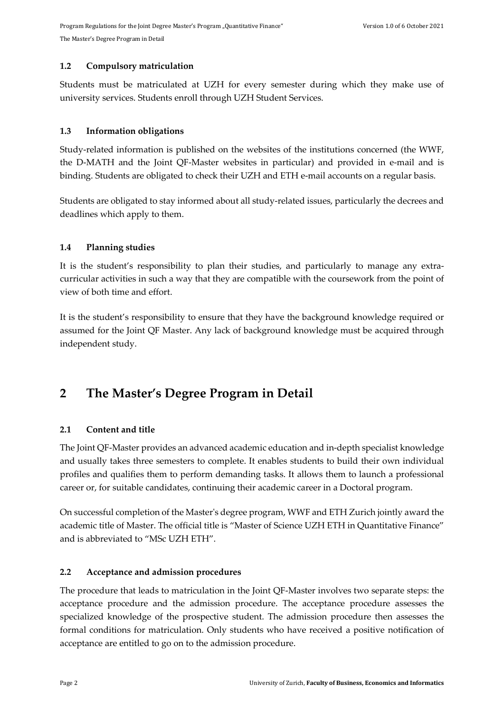### <span id="page-5-0"></span>**1.2 Compulsory matriculation**

Students must be matriculated at UZH for every semester during which they make use of university services. Students enroll through UZH Student Services.

### <span id="page-5-1"></span>**1.3 Information obligations**

Study-related information is published on the websites of the institutions concerned (the WWF, the D-MATH and the Joint QF-Master websites in particular) and provided in e-mail and is binding. Students are obligated to check their UZH and ETH e-mail accounts on a regular basis.

Students are obligated to stay informed about all study-related issues, particularly the decrees and deadlines which apply to them.

### <span id="page-5-2"></span>**1.4 Planning studies**

It is the student's responsibility to plan their studies, and particularly to manage any extracurricular activities in such a way that they are compatible with the coursework from the point of view of both time and effort.

It is the student's responsibility to ensure that they have the background knowledge required or assumed for the Joint QF Master. Any lack of background knowledge must be acquired through independent study.

# <span id="page-5-3"></span>**2 The Master's Degree Program in Detail**

# <span id="page-5-4"></span>**2.1 Content and title**

The Joint QF-Master provides an advanced academic education and in-depth specialist knowledge and usually takes three semesters to complete. It enables students to build their own individual profiles and qualifies them to perform demanding tasks. It allows them to launch a professional career or, for suitable candidates, continuing their academic career in a Doctoral program.

On successful completion of the Master's degree program, WWF and ETH Zurich jointly award the academic title of Master. The official title is "Master of Science UZH ETH in Quantitative Finance" and is abbreviated to "MSc UZH ETH".

### <span id="page-5-5"></span>**2.2 Acceptance and admission procedures**

The procedure that leads to matriculation in the Joint QF-Master involves two separate steps: the acceptance procedure and the admission procedure. The acceptance procedure assesses the specialized knowledge of the prospective student. The admission procedure then assesses the formal conditions for matriculation. Only students who have received a positive notification of acceptance are entitled to go on to the admission procedure.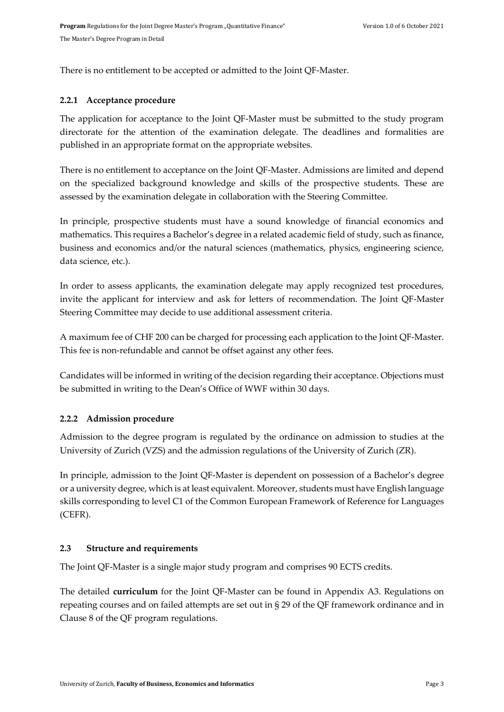There is no entitlement to be accepted or admitted to the Joint QF-Master.

#### <span id="page-6-0"></span>**2.2.1 Acceptance procedure**

The application for acceptance to the Joint QF-Master must be submitted to the study program directorate for the attention of the examination delegate. The deadlines and formalities are published in an appropriate format on the appropriate websites.

There is no entitlement to acceptance on the Joint QF-Master. Admissions are limited and depend on the specialized background knowledge and skills of the prospective students. These are assessed by the examination delegate in collaboration with the Steering Committee.

In principle, prospective students must have a sound knowledge of financial economics and mathematics. This requires a Bachelor's degree in a related academic field of study, such as finance, business and economics and/or the natural sciences (mathematics, physics, engineering science, data science, etc.).

In order to assess applicants, the examination delegate may apply recognized test procedures, invite the applicant for interview and ask for letters of recommendation. The Joint QF-Master Steering Committee may decide to use additional assessment criteria.

A maximum fee of CHF 200 can be charged for processing each application to the Joint QF-Master. This fee is non-refundable and cannot be offset against any other fees.

Candidates will be informed in writing of the decision regarding their acceptance. Objections must be submitted in writing to the Dean's Office of WWF within 30 days.

### <span id="page-6-1"></span>**2.2.2 Admission procedure**

Admission to the degree program is regulated by the ordinance on admission to studies at the University of Zurich (VZS) and the admission regulations of the University of Zurich (ZR).

In principle, admission to the Joint QF-Master is dependent on possession of a Bachelor's degree or a university degree, which is at least equivalent. Moreover, students must have English language skills corresponding to level C1 of the Common European Framework of Reference for Languages (CEFR).

#### <span id="page-6-2"></span>**2.3 Structure and requirements**

The Joint QF-Master is a single major study program and comprises 90 ECTS credits.

The detailed **curriculum** for the Joint QF-Master can be found in Appendix [A3.](#page-21-0) Regulations on repeating courses and on failed attempts are set out in § 29 of the QF framework ordinance and in Clause 8 of the QF program regulations.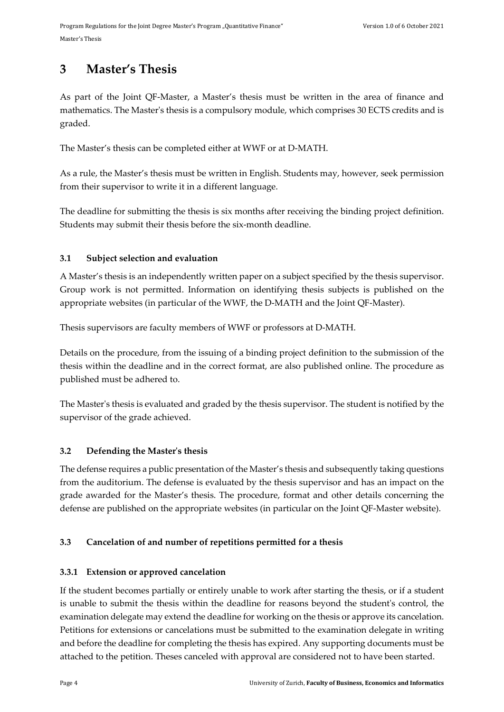# <span id="page-7-0"></span>**3 Master's Thesis**

As part of the Joint QF-Master, a Master's thesis must be written in the area of finance and mathematics. The Master's thesis is a compulsory module, which comprises 30 ECTS credits and is graded.

The Master's thesis can be completed either at WWF or at D-MATH.

As a rule, the Master's thesis must be written in English. Students may, however, seek permission from their supervisor to write it in a different language.

The deadline for submitting the thesis is six months after receiving the binding project definition. Students may submit their thesis before the six-month deadline.

# <span id="page-7-1"></span>**3.1 Subject selection and evaluation**

A Master's thesis is an independently written paper on a subject specified by the thesis supervisor. Group work is not permitted. Information on identifying thesis subjects is published on the appropriate websites (in particular of the WWF, the D-MATH and the Joint QF-Master).

Thesis supervisors are faculty members of WWF or professors at D-MATH.

Details on the procedure, from the issuing of a binding project definition to the submission of the thesis within the deadline and in the correct format, are also published online. The procedure as published must be adhered to.

The Master's thesis is evaluated and graded by the thesis supervisor. The student is notified by the supervisor of the grade achieved.

# <span id="page-7-2"></span>**3.2 Defending the Master's thesis**

The defense requires a public presentation of the Master's thesis and subsequently taking questions from the auditorium. The defense is evaluated by the thesis supervisor and has an impact on the grade awarded for the Master's thesis. The procedure, format and other details concerning the defense are published on the appropriate websites (in particular on the Joint QF-Master website).

# <span id="page-7-3"></span>**3.3 Cancelation of and number of repetitions permitted for a thesis**

# <span id="page-7-4"></span>**3.3.1 Extension or approved cancelation**

If the student becomes partially or entirely unable to work after starting the thesis, or if a student is unable to submit the thesis within the deadline for reasons beyond the student's control, the examination delegate may extend the deadline for working on the thesis or approve its cancelation. Petitions for extensions or cancelations must be submitted to the examination delegate in writing and before the deadline for completing the thesis has expired. Any supporting documents must be attached to the petition. Theses canceled with approval are considered not to have been started.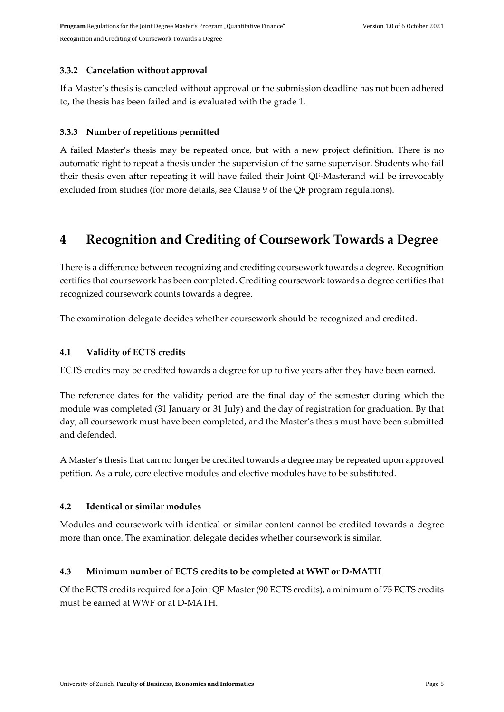### <span id="page-8-0"></span>**3.3.2 Cancelation without approval**

If a Master's thesis is canceled without approval or the submission deadline has not been adhered to, the thesis has been failed and is evaluated with the grade 1.

#### <span id="page-8-1"></span>**3.3.3 Number of repetitions permitted**

A failed Master's thesis may be repeated once, but with a new project definition. There is no automatic right to repeat a thesis under the supervision of the same supervisor. Students who fail their thesis even after repeating it will have failed their Joint QF-Masterand will be irrevocably excluded from studies (for more details, see Clause 9 of the QF program regulations).

# <span id="page-8-2"></span>**4 Recognition and Crediting of Coursework Towards a Degree**

There is a difference between recognizing and crediting coursework towards a degree. Recognition certifies that coursework has been completed. Crediting coursework towards a degree certifies that recognized coursework counts towards a degree.

The examination delegate decides whether coursework should be recognized and credited.

#### <span id="page-8-3"></span>**4.1 Validity of ECTS credits**

ECTS credits may be credited towards a degree for up to five years after they have been earned.

The reference dates for the validity period are the final day of the semester during which the module was completed (31 January or 31 July) and the day of registration for graduation. By that day, all coursework must have been completed, and the Master's thesis must have been submitted and defended.

A Master's thesis that can no longer be credited towards a degree may be repeated upon approved petition. As a rule, core elective modules and elective modules have to be substituted.

### <span id="page-8-4"></span>**4.2 Identical or similar modules**

Modules and coursework with identical or similar content cannot be credited towards a degree more than once. The examination delegate decides whether coursework is similar.

### <span id="page-8-5"></span>**4.3 Minimum number of ECTS credits to be completed at WWF or D-MATH**

Of the ECTS credits required for a Joint QF-Master(90 ECTS credits), a minimum of 75 ECTS credits must be earned at WWF or at D-MATH.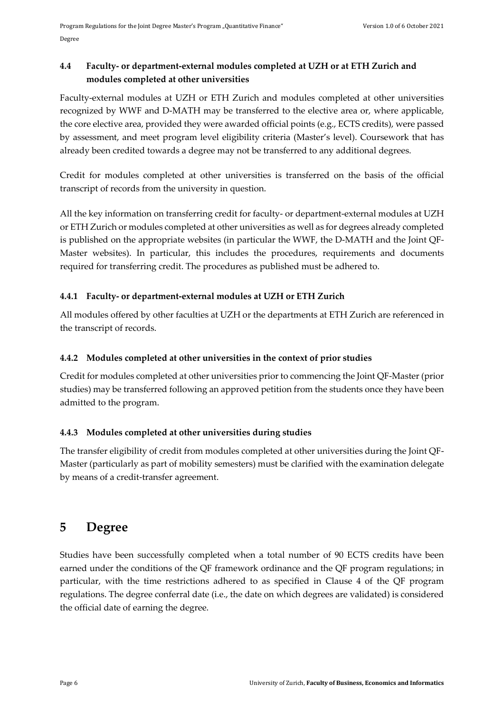# <span id="page-9-0"></span>**4.4 Faculty- or department-external modules completed at UZH or at ETH Zurich and modules completed at other universities**

Faculty-external modules at UZH or ETH Zurich and modules completed at other universities recognized by WWF and D-MATH may be transferred to the elective area or, where applicable, the core elective area, provided they were awarded official points (e.g., ECTS credits), were passed by assessment, and meet program level eligibility criteria (Master's level). Coursework that has already been credited towards a degree may not be transferred to any additional degrees.

Credit for modules completed at other universities is transferred on the basis of the official transcript of records from the university in question.

All the key information on transferring credit for faculty- or department-external modules at UZH or ETH Zurich or modules completed at other universities as well as for degrees already completed is published on the appropriate websites (in particular the WWF, the D-MATH and the Joint QF-Master websites). In particular, this includes the procedures, requirements and documents required for transferring credit. The procedures as published must be adhered to.

# <span id="page-9-1"></span>**4.4.1 Faculty- or department-external modules at UZH or ETH Zurich**

All modules offered by other faculties at UZH or the departments at ETH Zurich are referenced in the transcript of records.

# <span id="page-9-2"></span>**4.4.2 Modules completed at other universities in the context of prior studies**

Credit for modules completed at other universities prior to commencing the Joint QF-Master (prior studies) may be transferred following an approved petition from the students once they have been admitted to the program.

# <span id="page-9-3"></span>**4.4.3 Modules completed at other universities during studies**

The transfer eligibility of credit from modules completed at other universities during the Joint QF-Master (particularly as part of mobility semesters) must be clarified with the examination delegate by means of a credit-transfer agreement.

# <span id="page-9-4"></span>**5 Degree**

Studies have been successfully completed when a total number of 90 ECTS credits have been earned under the conditions of the QF framework ordinance and the QF program regulations; in particular, with the time restrictions adhered to as specified in Clause 4 of the QF program regulations. The degree conferral date (i.e., the date on which degrees are validated) is considered the official date of earning the degree.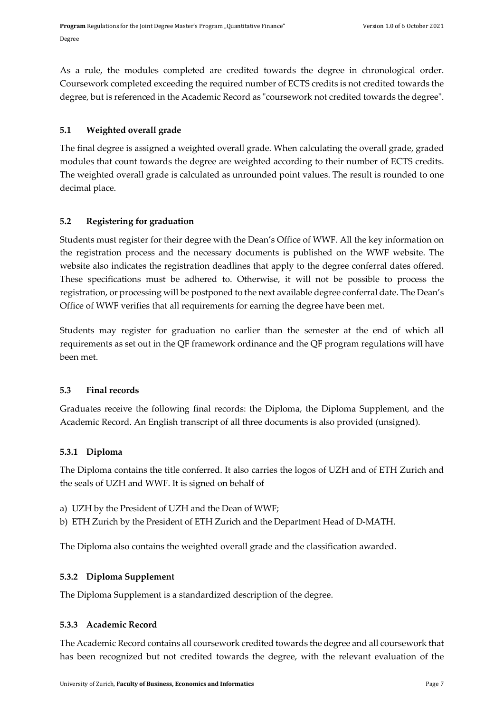As a rule, the modules completed are credited towards the degree in chronological order. Coursework completed exceeding the required number of ECTS credits is not credited towards the degree, but is referenced in the Academic Record as "coursework not credited towards the degree".

### <span id="page-10-0"></span>**5.1 Weighted overall grade**

The final degree is assigned a weighted overall grade. When calculating the overall grade, graded modules that count towards the degree are weighted according to their number of ECTS credits. The weighted overall grade is calculated as unrounded point values. The result is rounded to one decimal place.

# <span id="page-10-1"></span>**5.2 Registering for graduation**

Students must register for their degree with the Dean's Office of WWF. All the key information on the registration process and the necessary documents is published on the WWF website. The website also indicates the registration deadlines that apply to the degree conferral dates offered. These specifications must be adhered to. Otherwise, it will not be possible to process the registration, or processing will be postponed to the next available degree conferral date. The Dean's Office of WWF verifies that all requirements for earning the degree have been met.

Students may register for graduation no earlier than the semester at the end of which all requirements as set out in the QF framework ordinance and the QF program regulations will have been met.

### <span id="page-10-2"></span>**5.3 Final records**

Graduates receive the following final records: the Diploma, the Diploma Supplement, and the Academic Record. An English transcript of all three documents is also provided (unsigned).

# <span id="page-10-3"></span>**5.3.1 Diploma**

The Diploma contains the title conferred. It also carries the logos of UZH and of ETH Zurich and the seals of UZH and WWF. It is signed on behalf of

- a) UZH by the President of UZH and the Dean of WWF;
- b) ETH Zurich by the President of ETH Zurich and the Department Head of D-MATH.

The Diploma also contains the weighted overall grade and the classification awarded.

# <span id="page-10-4"></span>**5.3.2 Diploma Supplement**

The Diploma Supplement is a standardized description of the degree.

### <span id="page-10-5"></span>**5.3.3 Academic Record**

The Academic Record contains all coursework credited towards the degree and all coursework that has been recognized but not credited towards the degree, with the relevant evaluation of the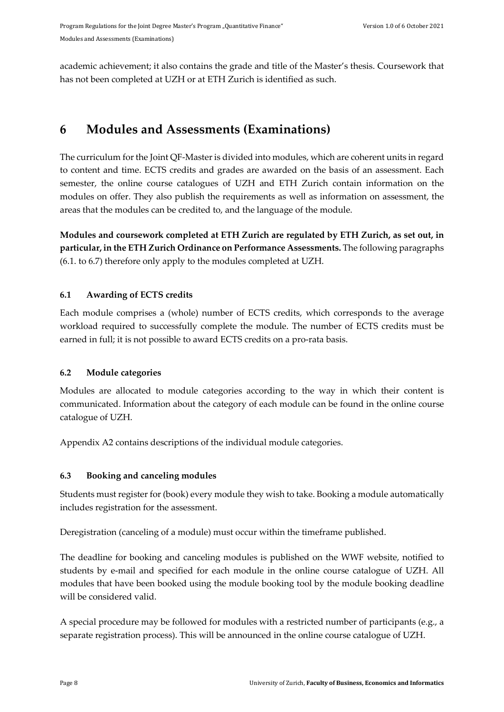academic achievement; it also contains the grade and title of the Master's thesis. Coursework that has not been completed at UZH or at ETH Zurich is identified as such.

# <span id="page-11-0"></span>**6 Modules and Assessments (Examinations)**

The curriculum for the Joint QF-Master is divided into modules, which are coherent units in regard to content and time. ECTS credits and grades are awarded on the basis of an assessment. Each semester, the online course catalogues of UZH and ETH Zurich contain information on the modules on offer. They also publish the requirements as well as information on assessment, the areas that the modules can be credited to, and the language of the module.

**Modules and coursework completed at ETH Zurich are regulated by ETH Zurich, as set out, in particular, in the ETH Zurich Ordinance on Performance Assessments.** The following paragraphs (6.1. to 6.7) therefore only apply to the modules completed at UZH.

# <span id="page-11-1"></span>**6.1 Awarding of ECTS credits**

Each module comprises a (whole) number of ECTS credits, which corresponds to the average workload required to successfully complete the module. The number of ECTS credits must be earned in full; it is not possible to award ECTS credits on a pro-rata basis.

# <span id="page-11-2"></span>**6.2 Module categories**

Modules are allocated to module categories according to the way in which their content is communicated. Information about the category of each module can be found in the online course catalogue of UZH.

Appendix A2 contains descriptions of the individual module categories.

# <span id="page-11-3"></span>**6.3 Booking and canceling modules**

Students must register for (book) every module they wish to take. Booking a module automatically includes registration for the assessment.

Deregistration (canceling of a module) must occur within the timeframe published.

The deadline for booking and canceling modules is published on the WWF website, notified to students by e-mail and specified for each module in the online course catalogue of UZH. All modules that have been booked using the module booking tool by the module booking deadline will be considered valid.

A special procedure may be followed for modules with a restricted number of participants (e.g., a separate registration process). This will be announced in the online course catalogue of UZH.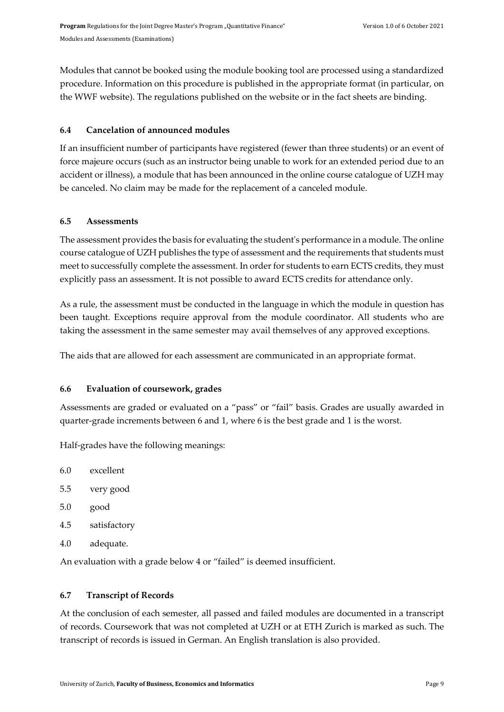Modules that cannot be booked using the module booking tool are processed using a standardized procedure. Information on this procedure is published in the appropriate format (in particular, on the WWF website). The regulations published on the website or in the fact sheets are binding.

### <span id="page-12-0"></span>**6.4 Cancelation of announced modules**

If an insufficient number of participants have registered (fewer than three students) or an event of force majeure occurs (such as an instructor being unable to work for an extended period due to an accident or illness), a module that has been announced in the online course catalogue of UZH may be canceled. No claim may be made for the replacement of a canceled module.

### <span id="page-12-1"></span>**6.5 Assessments**

The assessment provides the basis for evaluating the student's performance in a module. The online course catalogue of UZH publishes the type of assessment and the requirements that students must meet to successfully complete the assessment. In order for students to earn ECTS credits, they must explicitly pass an assessment. It is not possible to award ECTS credits for attendance only.

As a rule, the assessment must be conducted in the language in which the module in question has been taught. Exceptions require approval from the module coordinator. All students who are taking the assessment in the same semester may avail themselves of any approved exceptions.

The aids that are allowed for each assessment are communicated in an appropriate format.

### <span id="page-12-2"></span>**6.6 Evaluation of coursework, grades**

Assessments are graded or evaluated on a "pass" or "fail" basis. Grades are usually awarded in quarter-grade increments between 6 and 1, where 6 is the best grade and 1 is the worst.

Half-grades have the following meanings:

- 6.0 excellent
- 5.5 very good
- 5.0 good
- 4.5 satisfactory
- 4.0 adequate.

An evaluation with a grade below 4 or "failed" is deemed insufficient.

### <span id="page-12-3"></span>**6.7 Transcript of Records**

At the conclusion of each semester, all passed and failed modules are documented in a transcript of records. Coursework that was not completed at UZH or at ETH Zurich is marked as such. The transcript of records is issued in German. An English translation is also provided.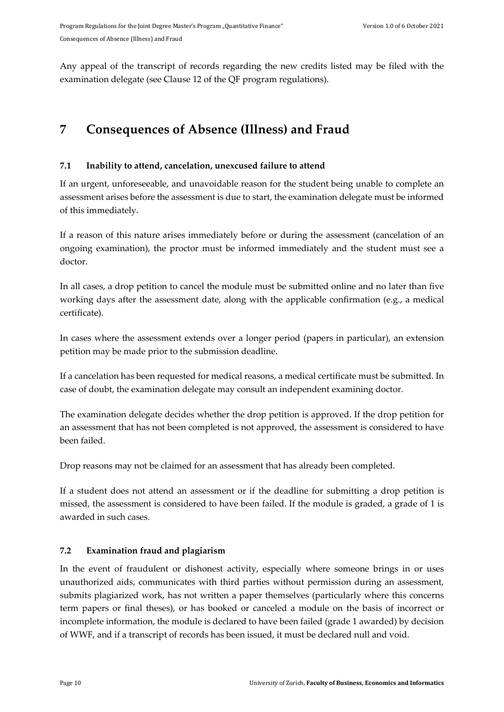Any appeal of the transcript of records regarding the new credits listed may be filed with the examination delegate (see Clause 12 of the QF program regulations).

# <span id="page-13-0"></span>**7 Consequences of Absence (Illness) and Fraud**

# <span id="page-13-1"></span>**7.1 Inability to attend, cancelation, unexcused failure to attend**

If an urgent, unforeseeable, and unavoidable reason for the student being unable to complete an assessment arises before the assessment is due to start, the examination delegate must be informed of this immediately.

If a reason of this nature arises immediately before or during the assessment (cancelation of an ongoing examination), the proctor must be informed immediately and the student must see a doctor.

In all cases, a drop petition to cancel the module must be submitted online and no later than five working days after the assessment date, along with the applicable confirmation (e.g., a medical certificate).

In cases where the assessment extends over a longer period (papers in particular), an extension petition may be made prior to the submission deadline.

If a cancelation has been requested for medical reasons, a medical certificate must be submitted. In case of doubt, the examination delegate may consult an independent examining doctor.

The examination delegate decides whether the drop petition is approved. If the drop petition for an assessment that has not been completed is not approved, the assessment is considered to have been failed.

Drop reasons may not be claimed for an assessment that has already been completed.

If a student does not attend an assessment or if the deadline for submitting a drop petition is missed, the assessment is considered to have been failed. If the module is graded, a grade of 1 is awarded in such cases.

# <span id="page-13-2"></span>**7.2 Examination fraud and plagiarism**

In the event of fraudulent or dishonest activity, especially where someone brings in or uses unauthorized aids, communicates with third parties without permission during an assessment, submits plagiarized work, has not written a paper themselves (particularly where this concerns term papers or final theses), or has booked or canceled a module on the basis of incorrect or incomplete information, the module is declared to have been failed (grade 1 awarded) by decision of WWF, and if a transcript of records has been issued, it must be declared null and void.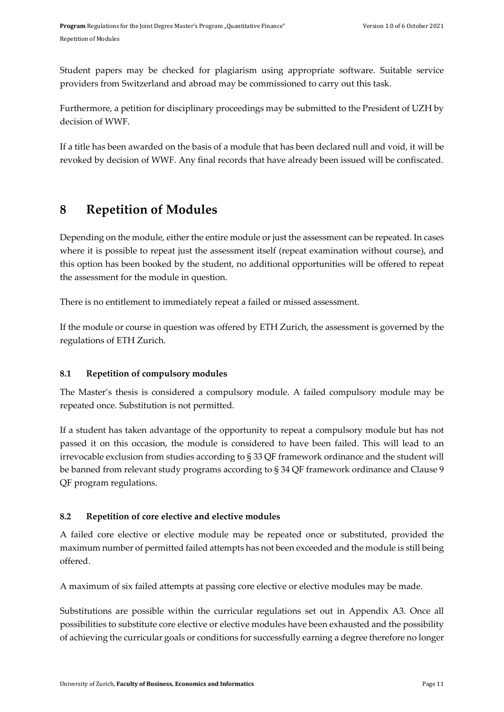Student papers may be checked for plagiarism using appropriate software. Suitable service providers from Switzerland and abroad may be commissioned to carry out this task.

Furthermore, a petition for disciplinary proceedings may be submitted to the President of UZH by decision of WWF.

If a title has been awarded on the basis of a module that has been declared null and void, it will be revoked by decision of WWF. Any final records that have already been issued will be confiscated.

# <span id="page-14-0"></span>**8 Repetition of Modules**

Depending on the module, either the entire module or just the assessment can be repeated. In cases where it is possible to repeat just the assessment itself (repeat examination without course), and this option has been booked by the student, no additional opportunities will be offered to repeat the assessment for the module in question.

There is no entitlement to immediately repeat a failed or missed assessment.

If the module or course in question was offered by ETH Zurich, the assessment is governed by the regulations of ETH Zurich.

# <span id="page-14-1"></span>**8.1 Repetition of compulsory modules**

The Master's thesis is considered a compulsory module. A failed compulsory module may be repeated once. Substitution is not permitted.

If a student has taken advantage of the opportunity to repeat a compulsory module but has not passed it on this occasion, the module is considered to have been failed. This will lead to an irrevocable exclusion from studies according to § 33 QF framework ordinance and the student will be banned from relevant study programs according to § 34 QF framework ordinance and Clause 9 QF program regulations.

# <span id="page-14-2"></span>**8.2 Repetition of core elective and elective modules**

A failed core elective or elective module may be repeated once or substituted, provided the maximum number of permitted failed attempts has not been exceeded and the module is still being offered.

A maximum of six failed attempts at passing core elective or elective modules may be made.

Substitutions are possible within the curricular regulations set out in Appendix A3. Once all possibilities to substitute core elective or elective modules have been exhausted and the possibility of achieving the curricular goals or conditions for successfully earning a degree therefore no longer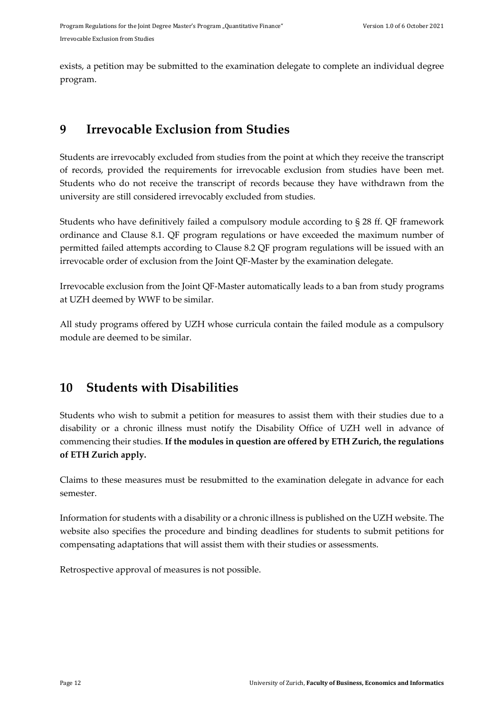exists, a petition may be submitted to the examination delegate to complete an individual degree program.

# <span id="page-15-0"></span>**9 Irrevocable Exclusion from Studies**

Students are irrevocably excluded from studies from the point at which they receive the transcript of records, provided the requirements for irrevocable exclusion from studies have been met. Students who do not receive the transcript of records because they have withdrawn from the university are still considered irrevocably excluded from studies.

Students who have definitively failed a compulsory module according to § 28 ff. QF framework ordinance and Clause 8.1. QF program regulations or have exceeded the maximum number of permitted failed attempts according to Clause 8.2 QF program regulations will be issued with an irrevocable order of exclusion from the Joint QF-Master by the examination delegate.

Irrevocable exclusion from the Joint QF-Master automatically leads to a ban from study programs at UZH deemed by WWF to be similar.

All study programs offered by UZH whose curricula contain the failed module as a compulsory module are deemed to be similar.

# <span id="page-15-1"></span>**10 Students with Disabilities**

Students who wish to submit a petition for measures to assist them with their studies due to a disability or a chronic illness must notify the Disability Office of UZH well in advance of commencing their studies. **If the modules in question are offered by ETH Zurich, the regulations of ETH Zurich apply.**

Claims to these measures must be resubmitted to the examination delegate in advance for each semester.

Information for students with a disability or a chronic illness is published on the UZH website. The website also specifies the procedure and binding deadlines for students to submit petitions for compensating adaptations that will assist them with their studies or assessments.

Retrospective approval of measures is not possible.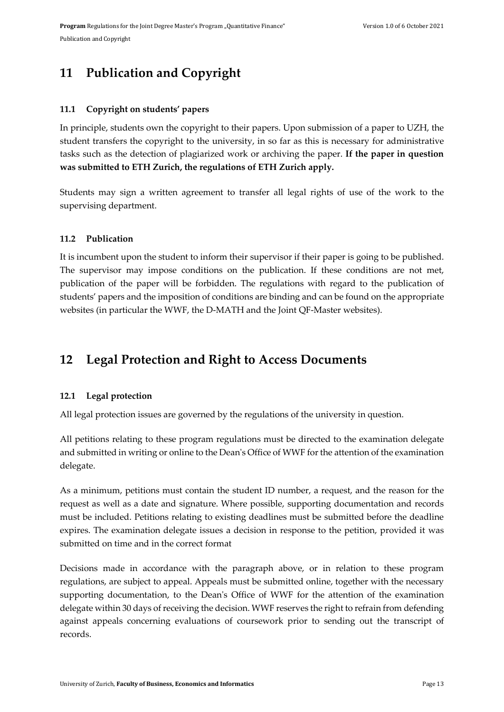# <span id="page-16-0"></span>**11 Publication and Copyright**

### <span id="page-16-1"></span>**11.1 Copyright on students' papers**

In principle, students own the copyright to their papers. Upon submission of a paper to UZH, the student transfers the copyright to the university, in so far as this is necessary for administrative tasks such as the detection of plagiarized work or archiving the paper. **If the paper in question was submitted to ETH Zurich, the regulations of ETH Zurich apply.**

Students may sign a written agreement to transfer all legal rights of use of the work to the supervising department.

### <span id="page-16-2"></span>**11.2 Publication**

It is incumbent upon the student to inform their supervisor if their paper is going to be published. The supervisor may impose conditions on the publication. If these conditions are not met, publication of the paper will be forbidden. The regulations with regard to the publication of students' papers and the imposition of conditions are binding and can be found on the appropriate websites (in particular the WWF, the D-MATH and the Joint QF-Master websites).

# <span id="page-16-3"></span>**12 Legal Protection and Right to Access Documents**

### <span id="page-16-4"></span>**12.1 Legal protection**

All legal protection issues are governed by the regulations of the university in question.

All petitions relating to these program regulations must be directed to the examination delegate and submitted in writing or online to the Dean's Office of WWF for the attention of the examination delegate.

As a minimum, petitions must contain the student ID number, a request, and the reason for the request as well as a date and signature. Where possible, supporting documentation and records must be included. Petitions relating to existing deadlines must be submitted before the deadline expires. The examination delegate issues a decision in response to the petition, provided it was submitted on time and in the correct format

Decisions made in accordance with the paragraph above, or in relation to these program regulations, are subject to appeal. Appeals must be submitted online, together with the necessary supporting documentation, to the Dean's Office of WWF for the attention of the examination delegate within 30 days of receiving the decision. WWF reserves the right to refrain from defending against appeals concerning evaluations of coursework prior to sending out the transcript of records.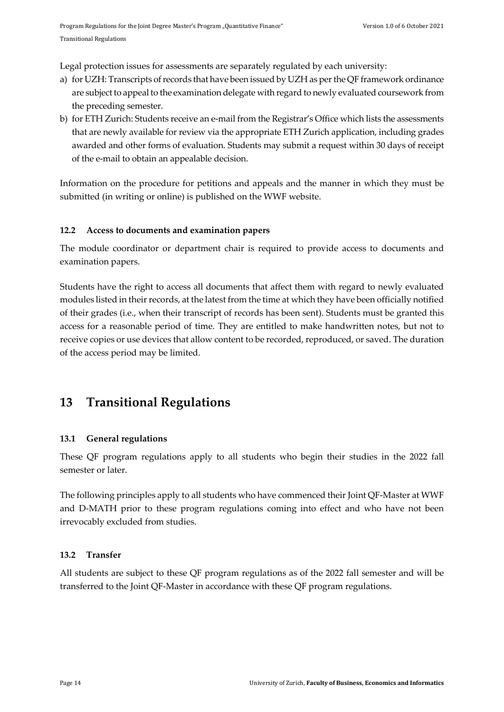Legal protection issues for assessments are separately regulated by each university:

- a) for UZH: Transcripts of records that have been issued by UZH as per the QF framework ordinance are subject to appeal to the examination delegate with regard to newly evaluated coursework from the preceding semester.
- b) for ETH Zurich: Students receive an e-mail from the Registrar's Office which lists the assessments that are newly available for review via the appropriate ETH Zurich application, including grades awarded and other forms of evaluation. Students may submit a request within 30 days of receipt of the e-mail to obtain an appealable decision.

Information on the procedure for petitions and appeals and the manner in which they must be submitted (in writing or online) is published on the WWF website.

### <span id="page-17-0"></span>**12.2 Access to documents and examination papers**

The module coordinator or department chair is required to provide access to documents and examination papers.

Students have the right to access all documents that affect them with regard to newly evaluated modules listed in their records, at the latest from the time at which they have been officially notified of their grades (i.e., when their transcript of records has been sent). Students must be granted this access for a reasonable period of time. They are entitled to make handwritten notes, but not to receive copies or use devices that allow content to be recorded, reproduced, or saved. The duration of the access period may be limited.

# <span id="page-17-1"></span>**13 Transitional Regulations**

### <span id="page-17-2"></span>**13.1 General regulations**

These QF program regulations apply to all students who begin their studies in the 2022 fall semester or later.

The following principles apply to all students who have commenced their Joint QF-Master at WWF and D-MATH prior to these program regulations coming into effect and who have not been irrevocably excluded from studies.

### <span id="page-17-3"></span>**13.2 Transfer**

All students are subject to these QF program regulations as of the 2022 fall semester and will be transferred to the Joint QF-Master in accordance with these QF program regulations.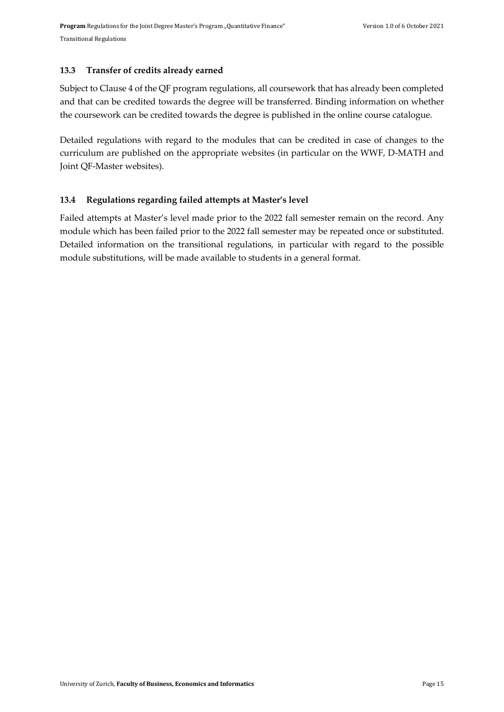#### <span id="page-18-0"></span>**13.3 Transfer of credits already earned**

Subject to Clause 4 of the QF program regulations, all coursework that has already been completed and that can be credited towards the degree will be transferred. Binding information on whether the coursework can be credited towards the degree is published in the online course catalogue.

Detailed regulations with regard to the modules that can be credited in case of changes to the curriculum are published on the appropriate websites (in particular on the WWF, D-MATH and Joint QF-Master websites).

### <span id="page-18-1"></span>**13.4 Regulations regarding failed attempts at Master's level**

Failed attempts at Master's level made prior to the 2022 fall semester remain on the record. Any module which has been failed prior to the 2022 fall semester may be repeated once or substituted. Detailed information on the transitional regulations, in particular with regard to the possible module substitutions, will be made available to students in a general format.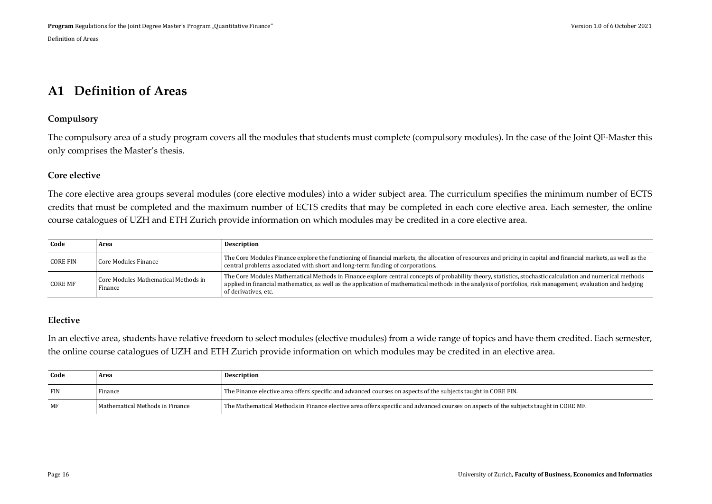# **A1 Definition of Areas**

#### **Compulsory**

The compulsory area of a study program covers all the modules that students must complete (compulsory modules). In the case of the Joint QF-Master this only comprises the Master's thesis.

#### **Core elective**

The core elective area groups several modules (core elective modules) into a wider subject area. The curriculum specifies the minimum number of ECTS credits that must be completed and the maximum number of ECTS credits that may be completed in each core elective area. Each semester, the online course catalogues of UZH and ETH Zurich provide information on which modules may be credited in a core elective area.

<span id="page-19-0"></span>

| Code            | Area                                            | <b>Description</b>                                                                                                                                                                                                                                                                                                                               |
|-----------------|-------------------------------------------------|--------------------------------------------------------------------------------------------------------------------------------------------------------------------------------------------------------------------------------------------------------------------------------------------------------------------------------------------------|
| <b>CORE FIN</b> | Core Modules Finance                            | The Core Modules Finance explore the functioning of financial markets, the allocation of resources and pricing in capital and financial markets, as well as the<br>central problems associated with short and long-term funding of corporations.                                                                                                 |
| <b>CORE MF</b>  | Core Modules Mathematical Methods in<br>Finance | The Core Modules Mathematical Methods in Finance explore central concepts of probability theory, statistics, stochastic calculation and numerical methods<br>applied in financial mathematics, as well as the application of mathematical methods in the analysis of portfolios, risk management, evaluation and hedging<br>of derivatives, etc. |

#### **Elective**

In an elective area, students have relative freedom to select modules (elective modules) from a wide range of topics and have them credited. Each semester, the online course catalogues of UZH and ETH Zurich provide information on which modules may be credited in an elective area.

| Code       | Area                            | <b>Description</b>                                                                                                                   |
|------------|---------------------------------|--------------------------------------------------------------------------------------------------------------------------------------|
| <b>FIN</b> | Finance                         | The Finance elective area offers specific and advanced courses on aspects of the subjects taught in CORE FIN.                        |
| MF         | Mathematical Methods in Finance | The Mathematical Methods in Finance elective area offers specific and advanced courses on aspects of the subjects taught in CORE MF. |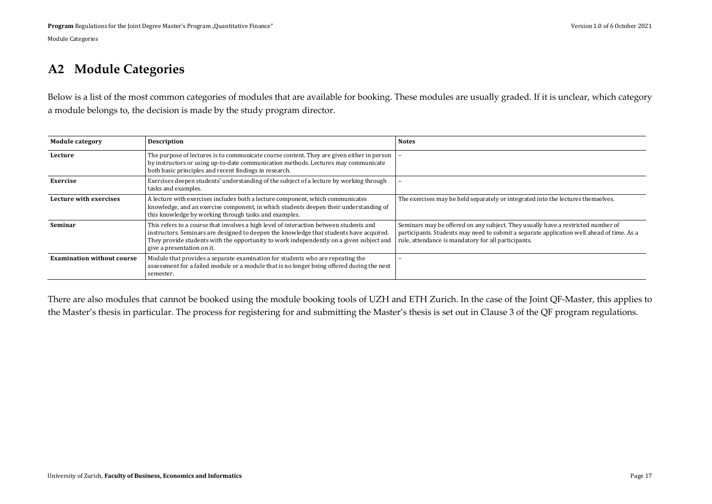# **A2 Module Categories**

Below is a list of the most common categories of modules that are available for booking. These modules are usually graded. If it is unclear, which category a module belongs to, the decision is made by the study program director.

| <b>Module category</b>            | <b>Description</b>                                                                                                                                                                                                                                                                                         | <b>Notes</b>                                                                                                                                                                                                                         |
|-----------------------------------|------------------------------------------------------------------------------------------------------------------------------------------------------------------------------------------------------------------------------------------------------------------------------------------------------------|--------------------------------------------------------------------------------------------------------------------------------------------------------------------------------------------------------------------------------------|
| Lecture                           | The purpose of lectures is to communicate course content. They are given either in person<br>by instructors or using up-to-date communication methods. Lectures may communicate<br>both basic principles and recent findings in research.                                                                  |                                                                                                                                                                                                                                      |
| Exercise                          | Exercises deepen students' understanding of the subject of a lecture by working through<br>tasks and examples.                                                                                                                                                                                             |                                                                                                                                                                                                                                      |
| Lecture with exercises            | A lecture with exercises includes both a lecture component, which communicates<br>knowledge, and an exercise component, in which students deepen their understanding of<br>this knowledge by working through tasks and examples.                                                                           | The exercises may be held separately or integrated into the lectures themselves.                                                                                                                                                     |
| Seminar                           | This refers to a course that involves a high level of interaction between students and<br>instructors. Seminars are designed to deepen the knowledge that students have acquired.<br>They provide students with the opportunity to work independently on a given subject and<br>give a presentation on it. | Seminars may be offered on any subject. They usually have a restricted number of<br>participants. Students may need to submit a separate application well ahead of time. As a<br>rule, attendance is mandatory for all participants. |
| <b>Examination without course</b> | Module that provides a separate examination for students who are repeating the<br>assessment for a failed module or a module that is no longer being offered during the next<br>semester.                                                                                                                  |                                                                                                                                                                                                                                      |

<span id="page-20-0"></span>There are also modules that cannot be booked using the module booking tools of UZH and ETH Zurich. In the case of the Joint QF-Master, this applies to the Master's thesis in particular. The process for registering for and submitting the Master's thesis is set out in Clause 3 of the QF program regulations.